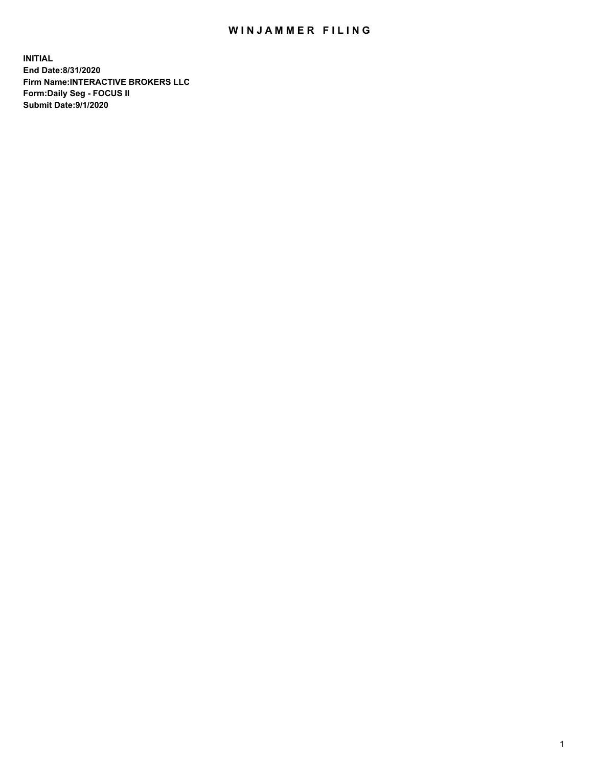## WIN JAMMER FILING

**INITIAL End Date:8/31/2020 Firm Name:INTERACTIVE BROKERS LLC Form:Daily Seg - FOCUS II Submit Date:9/1/2020**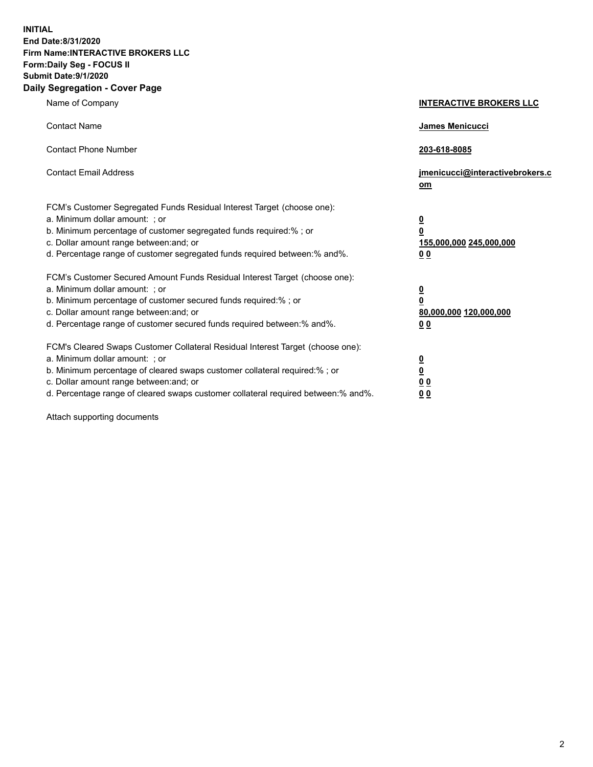**INITIAL End Date:8/31/2020 Firm Name:INTERACTIVE BROKERS LLC Form:Daily Seg - FOCUS II Submit Date:9/1/2020 Daily Segregation - Cover Page**

| Name of Company                                                                                                                                                                                                                                                                                                                | <b>INTERACTIVE BROKERS LLC</b>                                                                  |
|--------------------------------------------------------------------------------------------------------------------------------------------------------------------------------------------------------------------------------------------------------------------------------------------------------------------------------|-------------------------------------------------------------------------------------------------|
| <b>Contact Name</b>                                                                                                                                                                                                                                                                                                            | <b>James Menicucci</b>                                                                          |
| <b>Contact Phone Number</b>                                                                                                                                                                                                                                                                                                    | 203-618-8085                                                                                    |
| <b>Contact Email Address</b>                                                                                                                                                                                                                                                                                                   | jmenicucci@interactivebrokers.c<br>om                                                           |
| FCM's Customer Segregated Funds Residual Interest Target (choose one):<br>a. Minimum dollar amount: ; or<br>b. Minimum percentage of customer segregated funds required:%; or<br>c. Dollar amount range between: and; or<br>d. Percentage range of customer segregated funds required between:% and%.                          | $\overline{\mathbf{0}}$<br>$\overline{\mathbf{0}}$<br>155,000,000 245,000,000<br>0 <sub>0</sub> |
| FCM's Customer Secured Amount Funds Residual Interest Target (choose one):<br>a. Minimum dollar amount: ; or<br>b. Minimum percentage of customer secured funds required:%; or<br>c. Dollar amount range between: and; or<br>d. Percentage range of customer secured funds required between:% and%.                            | $\overline{\mathbf{0}}$<br>$\overline{\mathbf{0}}$<br>80,000,000 120,000,000<br>0 <sub>0</sub>  |
| FCM's Cleared Swaps Customer Collateral Residual Interest Target (choose one):<br>a. Minimum dollar amount: ; or<br>b. Minimum percentage of cleared swaps customer collateral required:% ; or<br>c. Dollar amount range between: and; or<br>d. Percentage range of cleared swaps customer collateral required between:% and%. | $\overline{\mathbf{0}}$<br>$\overline{\mathbf{0}}$<br>0 <sub>0</sub><br>0 <sub>0</sub>          |

Attach supporting documents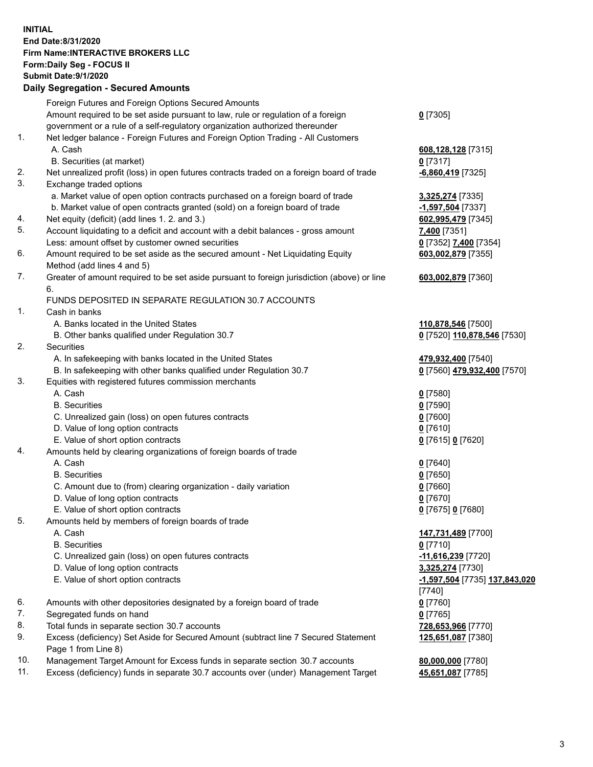**INITIAL End Date:8/31/2020 Firm Name:INTERACTIVE BROKERS LLC Form:Daily Seg - FOCUS II Submit Date:9/1/2020 Daily Segregation - Secured Amounts**

|     | Daily Segregation - Secured Amounts                                                         |                               |
|-----|---------------------------------------------------------------------------------------------|-------------------------------|
|     | Foreign Futures and Foreign Options Secured Amounts                                         |                               |
|     | Amount required to be set aside pursuant to law, rule or regulation of a foreign            | $0$ [7305]                    |
|     | government or a rule of a self-regulatory organization authorized thereunder                |                               |
| 1.  | Net ledger balance - Foreign Futures and Foreign Option Trading - All Customers             |                               |
|     | A. Cash                                                                                     | 608,128,128 [7315]            |
|     | B. Securities (at market)                                                                   | $0$ [7317]                    |
| 2.  | Net unrealized profit (loss) in open futures contracts traded on a foreign board of trade   | -6,860,419 [7325]             |
| 3.  | Exchange traded options                                                                     |                               |
|     | a. Market value of open option contracts purchased on a foreign board of trade              | 3,325,274 [7335]              |
|     | b. Market value of open contracts granted (sold) on a foreign board of trade                | -1,597,504 [7337]             |
| 4.  | Net equity (deficit) (add lines 1. 2. and 3.)                                               | 602,995,479 [7345]            |
| 5.  | Account liquidating to a deficit and account with a debit balances - gross amount           | 7,400 [7351]                  |
|     | Less: amount offset by customer owned securities                                            | 0 [7352] 7,400 [7354]         |
| 6.  | Amount required to be set aside as the secured amount - Net Liquidating Equity              | 603,002,879 [7355]            |
|     | Method (add lines 4 and 5)                                                                  |                               |
| 7.  | Greater of amount required to be set aside pursuant to foreign jurisdiction (above) or line | 603,002,879 [7360]            |
|     | 6.                                                                                          |                               |
|     | FUNDS DEPOSITED IN SEPARATE REGULATION 30.7 ACCOUNTS                                        |                               |
| 1.  | Cash in banks                                                                               |                               |
|     | A. Banks located in the United States                                                       | 110,878,546 [7500]            |
|     | B. Other banks qualified under Regulation 30.7                                              | 0 [7520] 110,878,546 [7530]   |
| 2.  | <b>Securities</b>                                                                           |                               |
|     | A. In safekeeping with banks located in the United States                                   | 479,932,400 [7540]            |
|     | B. In safekeeping with other banks qualified under Regulation 30.7                          | 0 [7560] 479,932,400 [7570]   |
| 3.  | Equities with registered futures commission merchants                                       |                               |
|     | A. Cash                                                                                     | $0$ [7580]                    |
|     | <b>B.</b> Securities                                                                        | $0$ [7590]                    |
|     | C. Unrealized gain (loss) on open futures contracts                                         | $0$ [7600]                    |
|     | D. Value of long option contracts                                                           | $0$ [7610]                    |
|     | E. Value of short option contracts                                                          | 0 [7615] 0 [7620]             |
| 4.  | Amounts held by clearing organizations of foreign boards of trade                           |                               |
|     | A. Cash                                                                                     | $0$ [7640]                    |
|     | <b>B.</b> Securities                                                                        | $0$ [7650]                    |
|     | C. Amount due to (from) clearing organization - daily variation                             | $0$ [7660]                    |
|     | D. Value of long option contracts                                                           | $0$ [7670]                    |
|     | E. Value of short option contracts                                                          | 0 [7675] 0 [7680]             |
| 5   | Amounts held by members of foreign boards of trade                                          |                               |
|     | A. Cash                                                                                     | 147,731,489 [7700]            |
|     | <b>B.</b> Securities                                                                        | $0$ [7710]                    |
|     | C. Unrealized gain (loss) on open futures contracts                                         | -11,616,239 [7720]            |
|     | D. Value of long option contracts                                                           | 3,325,274 [7730]              |
|     | E. Value of short option contracts                                                          | -1,597,504 [7735] 137,843,020 |
|     |                                                                                             | [7740]                        |
| 6.  | Amounts with other depositories designated by a foreign board of trade                      | $0$ [7760]                    |
| 7.  | Segregated funds on hand                                                                    | $0$ [7765]                    |
| 8.  | Total funds in separate section 30.7 accounts                                               | 728,653,966 [7770]            |
| 9.  | Excess (deficiency) Set Aside for Secured Amount (subtract line 7 Secured Statement         | 125,651,087 [7380]            |
|     | Page 1 from Line 8)                                                                         |                               |
| 10. | Management Target Amount for Excess funds in separate section 30.7 accounts                 | 80,000,000 [7780]             |
| 11. | Excess (deficiency) funds in separate 30.7 accounts over (under) Management Target          | 45,651,087 [7785]             |
|     |                                                                                             |                               |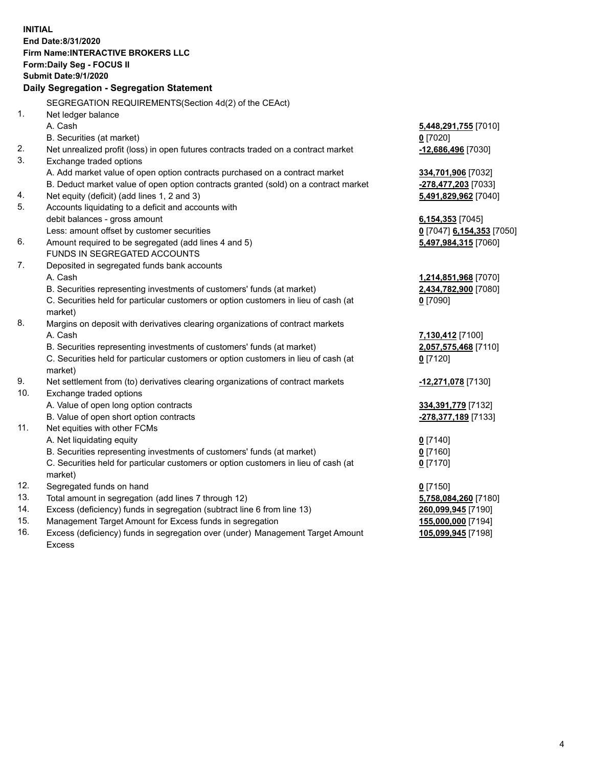**INITIAL End Date:8/31/2020 Firm Name:INTERACTIVE BROKERS LLC Form:Daily Seg - FOCUS II Submit Date:9/1/2020 Daily Segregation - Segregation Statement** SEGREGATION REQUIREMENTS(Section 4d(2) of the CEAct) 1. Net ledger balance A. Cash **5,448,291,755** [7010] B. Securities (at market) **0** [7020] 2. Net unrealized profit (loss) in open futures contracts traded on a contract market **-12,686,496** [7030] 3. Exchange traded options A. Add market value of open option contracts purchased on a contract market **334,701,906** [7032] B. Deduct market value of open option contracts granted (sold) on a contract market **-278,477,203** [7033] 4. Net equity (deficit) (add lines 1, 2 and 3) **5,491,829,962** [7040] 5. Accounts liquidating to a deficit and accounts with debit balances - gross amount **6,154,353** [7045] Less: amount offset by customer securities **0** [7047] **6,154,353** [7050] 6. Amount required to be segregated (add lines 4 and 5) **5,497,984,315** [7060] FUNDS IN SEGREGATED ACCOUNTS 7. Deposited in segregated funds bank accounts A. Cash **1,214,851,968** [7070] B. Securities representing investments of customers' funds (at market) **2,434,782,900** [7080] C. Securities held for particular customers or option customers in lieu of cash (at market) **0** [7090] 8. Margins on deposit with derivatives clearing organizations of contract markets A. Cash **7,130,412** [7100] B. Securities representing investments of customers' funds (at market) **2,057,575,468** [7110] C. Securities held for particular customers or option customers in lieu of cash (at market) **0** [7120] 9. Net settlement from (to) derivatives clearing organizations of contract markets **-12,271,078** [7130] 10. Exchange traded options A. Value of open long option contracts **334,391,779** [7132] B. Value of open short option contracts **-278,377,189** [7133] 11. Net equities with other FCMs A. Net liquidating equity **0** [7140] B. Securities representing investments of customers' funds (at market) **0** [7160] C. Securities held for particular customers or option customers in lieu of cash (at market) **0** [7170] 12. Segregated funds on hand **0** [7150] 13. Total amount in segregation (add lines 7 through 12) **5,758,084,260** [7180] 14. Excess (deficiency) funds in segregation (subtract line 6 from line 13) **260,099,945** [7190] 15. Management Target Amount for Excess funds in segregation **155,000,000** [7194] 16. Excess (deficiency) funds in segregation over (under) Management Target Amount Excess **105,099,945** [7198]